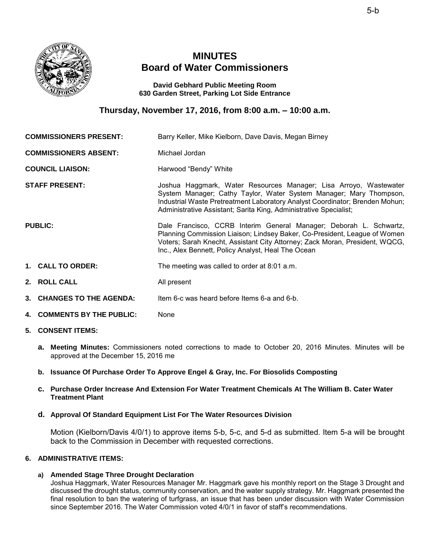

# **MINUTES Board of Water Commissioners**

**David Gebhard Public Meeting Room 630 Garden Street, Parking Lot Side Entrance** 

**Thursday, November 17, 2016, from 8:00 a.m. – 10:00 a.m.** 

|                              | <b>COMMISSIONERS PRESENT:</b> | Barry Keller, Mike Kielborn, Dave Davis, Megan Birney                                                                                                                                                                                                                                        |
|------------------------------|-------------------------------|----------------------------------------------------------------------------------------------------------------------------------------------------------------------------------------------------------------------------------------------------------------------------------------------|
| <b>COMMISSIONERS ABSENT:</b> |                               | Michael Jordan                                                                                                                                                                                                                                                                               |
| <b>COUNCIL LIAISON:</b>      |                               | Harwood "Bendy" White                                                                                                                                                                                                                                                                        |
|                              | <b>STAFF PRESENT:</b>         | Joshua Haggmark, Water Resources Manager; Lisa Arroyo, Wastewater<br>System Manager; Cathy Taylor, Water System Manager; Mary Thompson,<br>Industrial Waste Pretreatment Laboratory Analyst Coordinator; Brenden Mohun;<br>Administrative Assistant; Sarita King, Administrative Specialist; |
| <b>PUBLIC:</b>               |                               | Dale Francisco, CCRB Interim General Manager; Deborah L. Schwartz,<br>Planning Commission Liaison; Lindsey Baker, Co-President, League of Women<br>Voters; Sarah Knecht, Assistant City Attorney; Zack Moran, President, WQCG,<br>Inc., Alex Bennett, Policy Analyst, Heal The Ocean         |
|                              | 1. CALL TO ORDER:             | The meeting was called to order at 8:01 a.m.                                                                                                                                                                                                                                                 |
|                              | 2. ROLL CALL                  | All present                                                                                                                                                                                                                                                                                  |
|                              | 3. CHANGES TO THE AGENDA:     | Item 6-c was heard before Items 6-a and 6-b.                                                                                                                                                                                                                                                 |
|                              | 4. COMMENTS BY THE PUBLIC:    | None                                                                                                                                                                                                                                                                                         |

- **5. CONSENT ITEMS:**
	- **a. Meeting Minutes:** Commissioners noted corrections to made to October 20, 2016 Minutes. Minutes will be approved at the December 15, 2016 me
	- **b. Issuance Of Purchase Order To Approve Engel & Gray, Inc. For Biosolids Composting**

## **c. Purchase Order Increase And Extension For Water Treatment Chemicals At The William B. Cater Water Treatment Plant**

## **d. Approval Of Standard Equipment List For The Water Resources Division**

Motion (Kielborn/Davis 4/0/1) to approve items 5-b, 5-c, and 5-d as submitted. Item 5-a will be brought back to the Commission in December with requested corrections.

# **6. ADMINISTRATIVE ITEMS:**

## **a) Amended Stage Three Drought Declaration**

Joshua Haggmark, Water Resources Manager Mr. Haggmark gave his monthly report on the Stage 3 Drought and discussed the drought status, community conservation, and the water supply strategy. Mr. Haggmark presented the final resolution to ban the watering of turfgrass, an issue that has been under discussion with Water Commission since September 2016. The Water Commission voted 4/0/1 in favor of staff's recommendations.